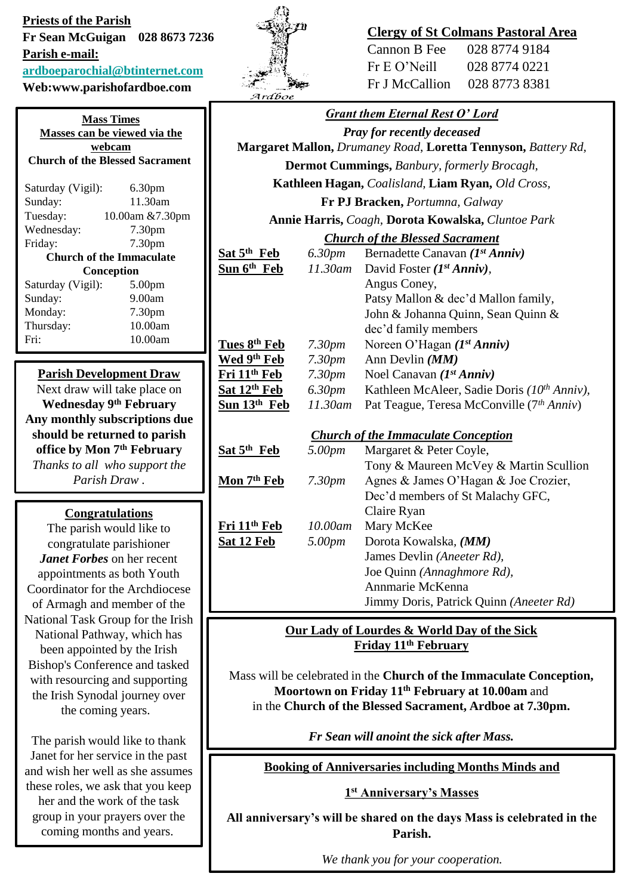**Priests of the Parish Fr Sean McGuigan 028 8673 7236 Parish e-mail:**

**[ardboeparochial@btinternet.com](mailto:ardboeparochial@btinternet.com)**

**Web:www.parishofardboe.com**

| <b>Mass Times</b><br>Masses can be viewed via the<br>webcam<br><b>Church of the Blessed Sacrament</b>                                                                                                                                                       |                                                                                                                                                                                        |  |
|-------------------------------------------------------------------------------------------------------------------------------------------------------------------------------------------------------------------------------------------------------------|----------------------------------------------------------------------------------------------------------------------------------------------------------------------------------------|--|
| Saturday (Vigil):<br>Sunday:<br>Tuesday:<br>Wednesday:<br>Friday:<br>Saturday (Vigil):<br>Sunday:<br>Monday:<br>Thursday:<br>Fri:                                                                                                                           | 6.30 <sub>pm</sub><br>11.30am<br>10.00am & 7.30pm<br>7.30pm<br>7.30pm<br><b>Church of the Immaculate</b><br>Conception<br>5.00 <sub>pm</sub><br>9.00am<br>7.30pm<br>10.00am<br>10.00am |  |
| <b>Parish Development Draw</b><br>Next draw will take place on<br><b>Wednesday 9th February</b><br>Any monthly subscriptions due<br>should be returned to parish<br>office by Mon 7 <sup>th</sup> February<br>Thanks to all who support the<br>Parish Draw. |                                                                                                                                                                                        |  |
| <b>Congratulations</b><br>The parish would like to                                                                                                                                                                                                          |                                                                                                                                                                                        |  |

congratulate parishioner *Janet Forbes* on her recent appointments as both Youth Coordinator for the Archdiocese of Armagh and member of the National Task Group for the Irish National Pathway, which has been appointed by the Irish Bishop's Conference and tasked with resourcing and supporting the Irish Synodal journey over the coming years.

The parish would like to thank Janet for her service in the past and wish her well as she assumes these roles, we ask that you keep her and the work of the task group in your prayers over the coming months and years.



## **Clergy of St Colmans Pastoral Area**

| Cannon B Fee   | 028 8774 9184 |
|----------------|---------------|
| Fr E O' Neill  | 028 8774 0221 |
| Fr J McCallion | 028 8773 8381 |

| Ardboe                                                              |                    |                                                       |
|---------------------------------------------------------------------|--------------------|-------------------------------------------------------|
|                                                                     |                    | <b>Grant them Eternal Rest O' Lord</b>                |
| <b>Pray for recently deceased</b>                                   |                    |                                                       |
| Margaret Mallon, Drumaney Road, Loretta Tennyson, Battery Rd,       |                    |                                                       |
| <b>Dermot Cummings, Banbury, formerly Brocagh,</b>                  |                    |                                                       |
|                                                                     |                    | Kathleen Hagan, Coalisland, Liam Ryan, Old Cross,     |
|                                                                     |                    | Fr PJ Bracken, Portumna, Galway                       |
| Annie Harris, Coagh, Dorota Kowalska, Cluntoe Park                  |                    |                                                       |
| <b>Church of the Blessed Sacrament</b>                              |                    |                                                       |
| Sat 5 <sup>th</sup> Feb                                             | 6.30pm             | Bernadette Canavan (1st Anniv)                        |
| Sun 6 <sup>th</sup> Feb                                             | 11.30am            | David Foster $(I^{st} Anniv)$ ,                       |
|                                                                     |                    | Angus Coney,                                          |
|                                                                     |                    | Patsy Mallon & dec'd Mallon family,                   |
|                                                                     |                    | John & Johanna Quinn, Sean Quinn &                    |
|                                                                     |                    | dec'd family members                                  |
| Tues 8th Feb                                                        | 7.30 <sub>pm</sub> | Noreen O'Hagan $(I^{st} Anniv)$                       |
| Wed 9th Feb                                                         | 7.30 <sub>pm</sub> | Ann Devlin (MM)                                       |
| Fri 11 <sup>th</sup> Feb                                            | 7.30 <sub>pm</sub> | Noel Canavan $(I^{st} Anniv)$                         |
| Sat 12th Feb                                                        | 6.30pm             | Kathleen McAleer, Sadie Doris (10th Anniv),           |
| Sun 13 <sup>th</sup> Feb                                            | $11.30$ am         | Pat Teague, Teresa McConville (7 <sup>th</sup> Anniv) |
|                                                                     |                    |                                                       |
| <b>Church of the Immaculate Conception</b>                          |                    |                                                       |
| Sat 5 <sup>th</sup> Feb                                             | 5.00pm             | Margaret & Peter Coyle,                               |
|                                                                     |                    | Tony & Maureen McVey & Martin Scullion                |
| Mon 7th Feb                                                         | 7.30pm             | Agnes & James O'Hagan & Joe Crozier,                  |
|                                                                     |                    | Dec'd members of St Malachy GFC,                      |
| Fri 11 <sup>th</sup> Feb                                            | 10.00am            | Claire Ryan<br>Mary McKee                             |
| Sat 12 Feb                                                          | 5.00pm             | Dorota Kowalska, (MM)                                 |
|                                                                     |                    | James Devlin (Aneeter Rd),                            |
|                                                                     |                    | Joe Quinn (Annaghmore Rd),                            |
|                                                                     |                    | Annmarie McKenna                                      |
|                                                                     |                    | Jimmy Doris, Patrick Quinn (Aneeter Rd)               |
|                                                                     |                    |                                                       |
|                                                                     |                    | Our Lady of Lourdes & World Day of the Sick           |
| Friday 11 <sup>th</sup> February                                    |                    |                                                       |
| Mass will be celebrated in the Church of the Immaculate Conception, |                    |                                                       |
| Moortown on Friday 11 <sup>th</sup> February at 10.00am and         |                    |                                                       |
| in the Church of the Blessed Sacrament, Ardboe at 7.30pm.           |                    |                                                       |

*Fr Sean will anoint the sick after Mass.*

**Booking of Anniversaries including Months Minds and** 

**1 st Anniversary's Masses**

**All anniversary's will be shared on the days Mass is celebrated in the Parish.** 

*We thank you for your cooperation.*